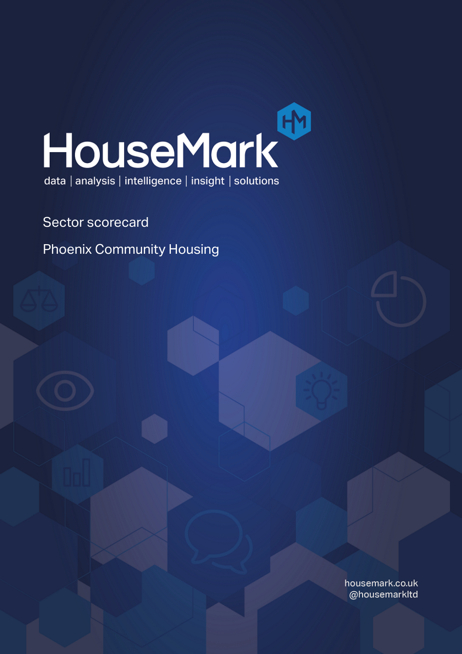

Sector scorecard

Phoenix Community Housing

housemark.co.uk @housemarkltd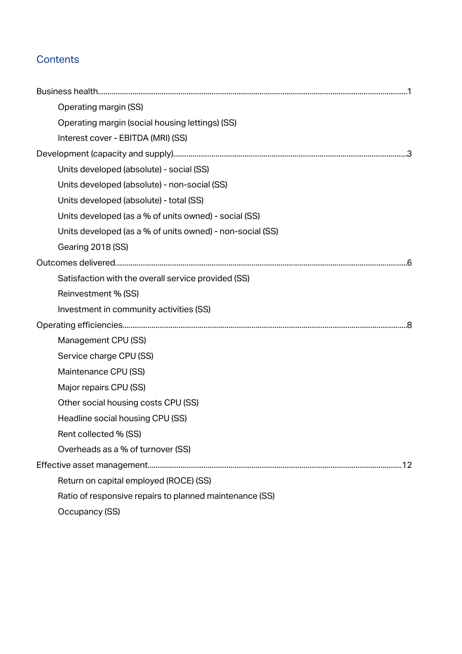## **Contents**

| Operating margin (SS)                                     |  |
|-----------------------------------------------------------|--|
| Operating margin (social housing lettings) (SS)           |  |
| Interest cover - EBITDA (MRI) (SS)                        |  |
|                                                           |  |
| Units developed (absolute) - social (SS)                  |  |
| Units developed (absolute) - non-social (SS)              |  |
| Units developed (absolute) - total (SS)                   |  |
| Units developed (as a % of units owned) - social (SS)     |  |
| Units developed (as a % of units owned) - non-social (SS) |  |
| Gearing 2018 (SS)                                         |  |
|                                                           |  |
| Satisfaction with the overall service provided (SS)       |  |
| Reinvestment % (SS)                                       |  |
| Investment in community activities (SS)                   |  |
|                                                           |  |
| Management CPU (SS)                                       |  |
| Service charge CPU (SS)                                   |  |
| Maintenance CPU (SS)                                      |  |
| Major repairs CPU (SS)                                    |  |
| Other social housing costs CPU (SS)                       |  |
| Headline social housing CPU (SS)                          |  |
| Rent collected % (SS)                                     |  |
| Overheads as a % of turnover (SS)                         |  |
|                                                           |  |
| Return on capital employed (ROCE) (SS)                    |  |
| Ratio of responsive repairs to planned maintenance (SS)   |  |
| <b>Occupancy (SS)</b>                                     |  |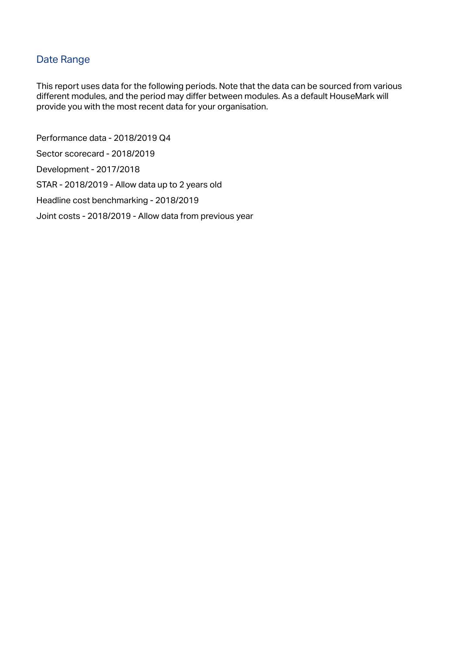### Date Range

This report uses data for the following periods. Note that the data can be sourced from various different modules, and the period may differ between modules. As a default HouseMark will provide you with the most recent data for your organisation.

Performance data - 2018/2019 Q4 Sector scorecard - 2018/2019 Development - 2017/2018 STAR - 2018/2019 - Allow data up to 2 years old Headline cost benchmarking - 2018/2019 Joint costs - 2018/2019 - Allow data from previous year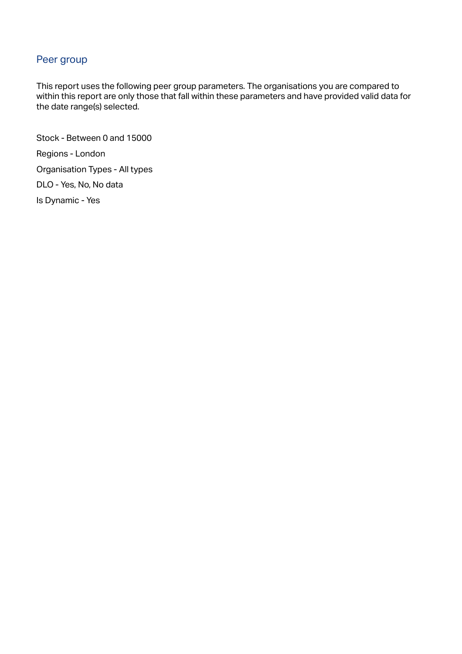### Peer group

This report uses the following peer group parameters. The organisations you are compared to within this report are only those that fall within these parameters and have provided valid data for the date range(s) selected.

Stock - Between 0 and 15000 Regions - London Organisation Types - All types DLO - Yes, No, No data Is Dynamic - Yes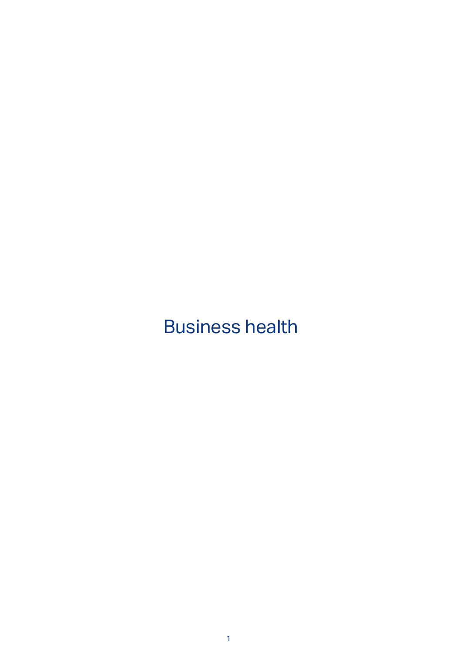## Business health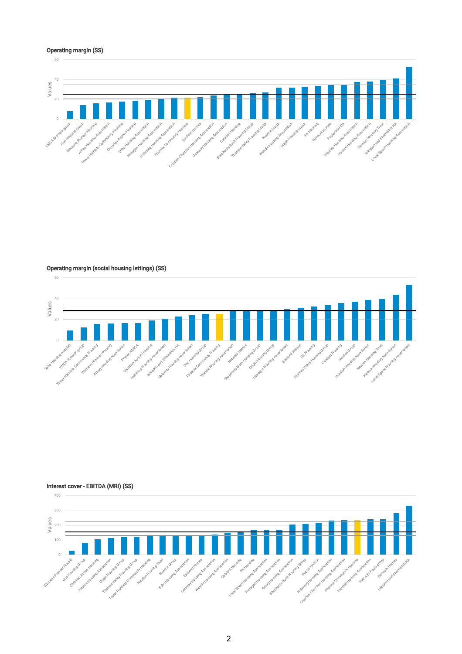#### Operating margin (SS)



Operating margin (social housing lettings) (SS)





2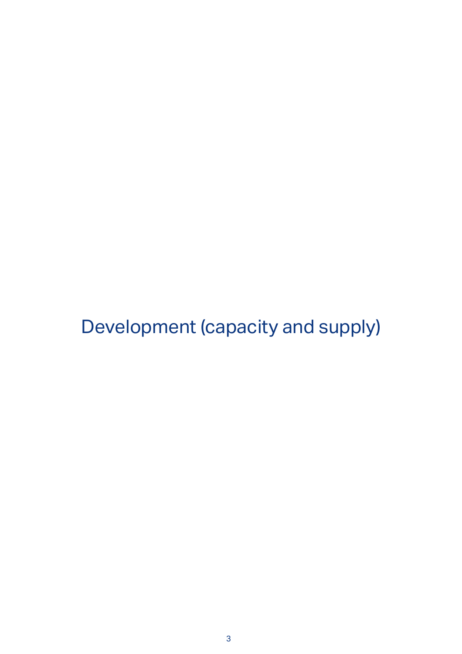Development (capacity and supply)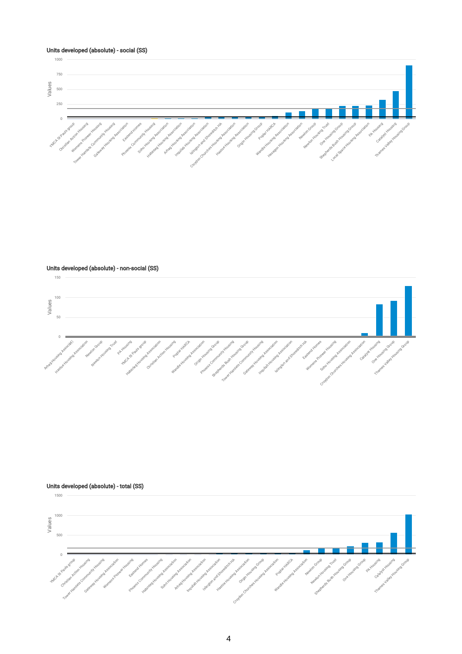

Units developed (absolute) - non-social (SS)



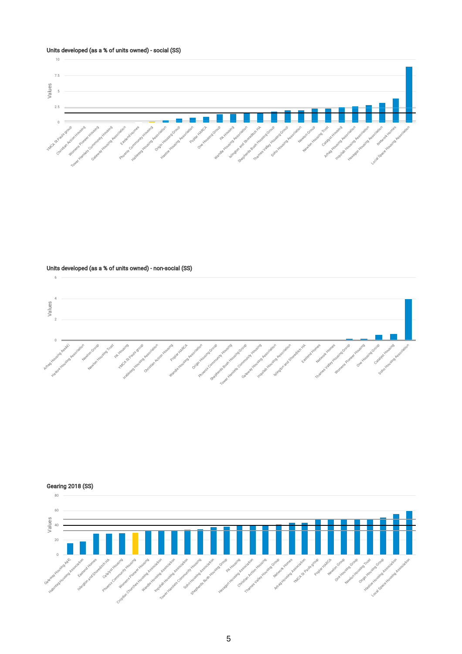#### Units developed (as a % of units owned) - social (SS)



Units developed (as a % of units owned) - non-social (SS)



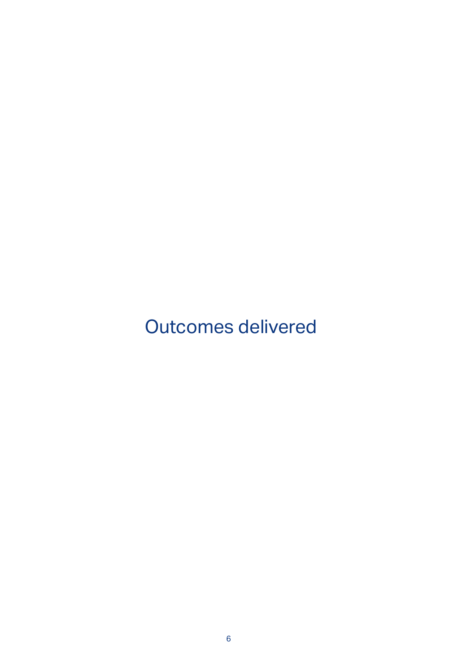Outcomes delivered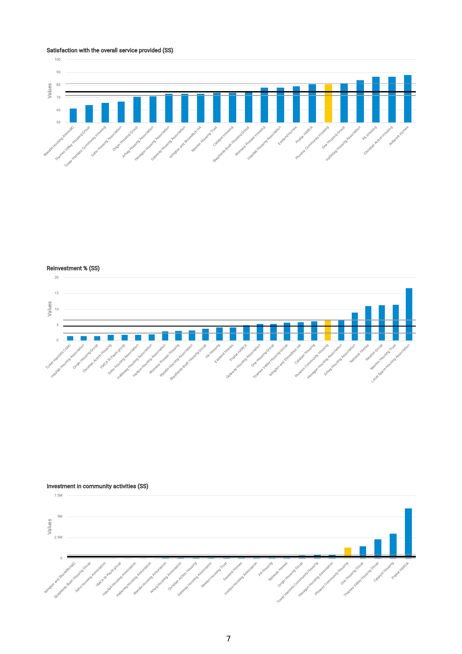#### Satisfaction with the overall service provided (SS)



Reinvestment % (SS)



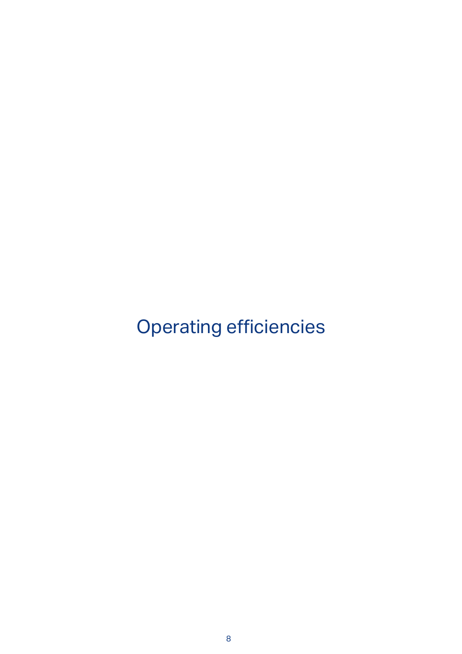Operating efficiencies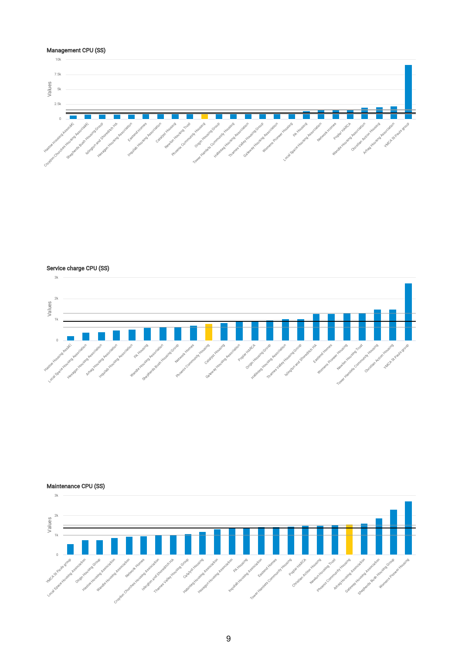

Service charge CPU (SS)



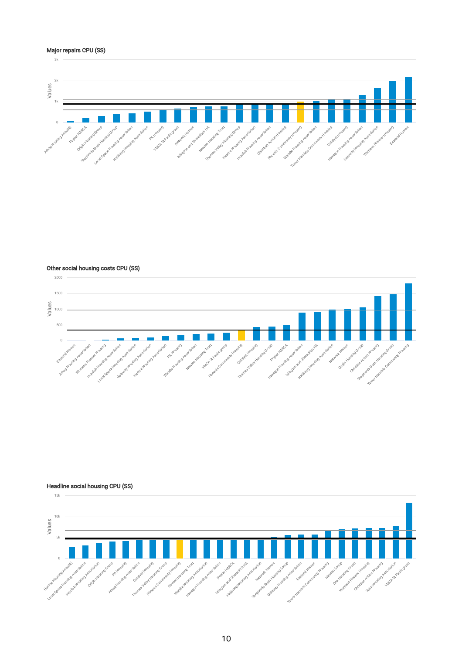#### Major repairs CPU (SS)



Other social housing costs CPU (SS)



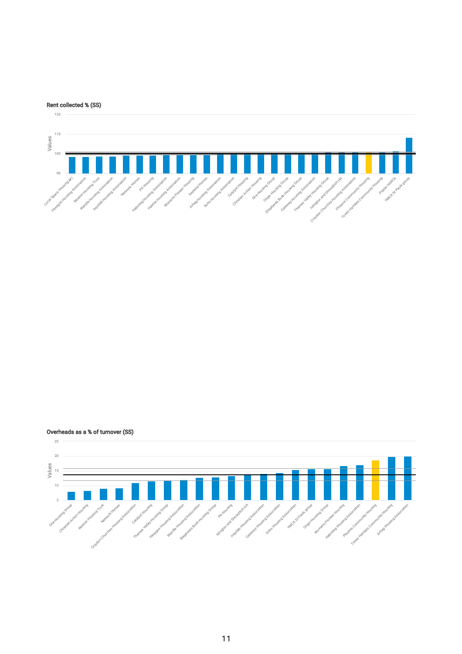

Overheads as a % of turnover (SS)

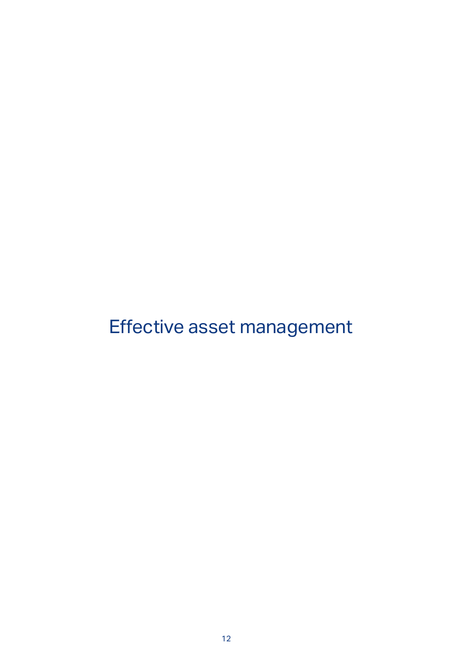# Effective asset management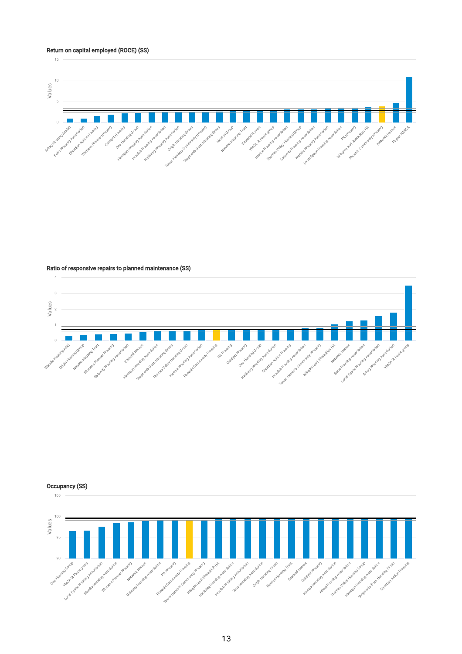#### Return on capital employed (ROCE) (SS)



#### Ratio of responsive repairs to planned maintenance (SS)